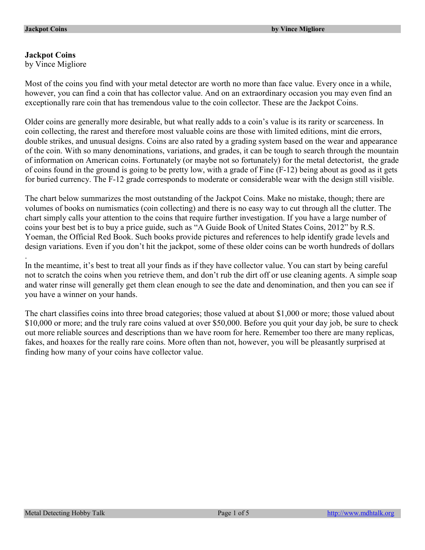# **Jackpot Coins**

.

by Vince Migliore

Most of the coins you find with your metal detector are worth no more than face value. Every once in a while, however, you can find a coin that has collector value. And on an extraordinary occasion you may even find an exceptionally rare coin that has tremendous value to the coin collector. These are the Jackpot Coins.

Older coins are generally more desirable, but what really adds to a coin's value is its rarity or scarceness. In coin collecting, the rarest and therefore most valuable coins are those with limited editions, mint die errors, double strikes, and unusual designs. Coins are also rated by a grading system based on the wear and appearance of the coin. With so many denominations, variations, and grades, it can be tough to search through the mountain of information on American coins. Fortunately (or maybe not so fortunately) for the metal detectorist, the grade of coins found in the ground is going to be pretty low, with a grade of Fine (F-12) being about as good as it gets for buried currency. The F-12 grade corresponds to moderate or considerable wear with the design still visible.

The chart below summarizes the most outstanding of the Jackpot Coins. Make no mistake, though; there are volumes of books on numismatics (coin collecting) and there is no easy way to cut through all the clutter. The chart simply calls your attention to the coins that require further investigation. If you have a large number of coins your best bet is to buy a price guide, such as "A Guide Book of United States Coins, 2012" by R.S. Yoeman, the Official Red Book. Such books provide pictures and references to help identify grade levels and design variations. Even if you don't hit the jackpot, some of these older coins can be worth hundreds of dollars

In the meantime, it's best to treat all your finds as if they have collector value. You can start by being careful not to scratch the coins when you retrieve them, and don't rub the dirt off or use cleaning agents. A simple soap and water rinse will generally get them clean enough to see the date and denomination, and then you can see if you have a winner on your hands.

The chart classifies coins into three broad categories; those valued at about \$1,000 or more; those valued about \$10,000 or more; and the truly rare coins valued at over \$50,000. Before you quit your day job, be sure to check out more reliable sources and descriptions than we have room for here. Remember too there are many replicas, fakes, and hoaxes for the really rare coins. More often than not, however, you will be pleasantly surprised at finding how many of your coins have collector value.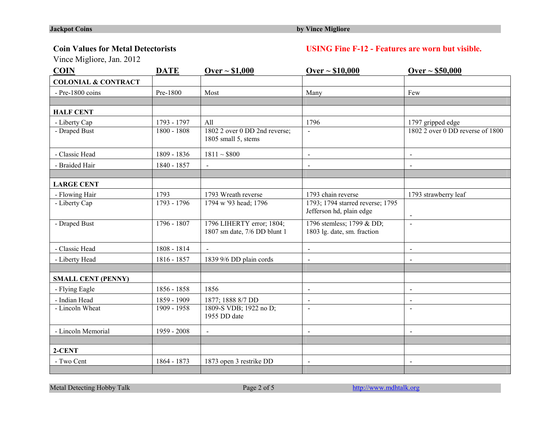## **Coin Values for Metal Detectorists USING Fine F-12 - Features are worn but visible.**

Vince Migliore, Jan. 2012

| <b>COIN</b>                    | <b>DATE</b>   | <u> Over ~ \$1,000</u>                                    | $Over ~ $10,000$                                             | Over ~ 550,000                   |
|--------------------------------|---------------|-----------------------------------------------------------|--------------------------------------------------------------|----------------------------------|
| <b>COLONIAL &amp; CONTRACT</b> |               |                                                           |                                                              |                                  |
| - Pre-1800 coins               | Pre-1800      | Most                                                      | Many                                                         | Few                              |
|                                |               |                                                           |                                                              |                                  |
| <b>HALF CENT</b>               |               |                                                           |                                                              |                                  |
| - Liberty Cap                  | 1793 - 1797   | All                                                       | 1796                                                         | 1797 gripped edge                |
| - Draped Bust                  | 1800 - 1808   | 1802 2 over 0 DD 2nd reverse;<br>1805 small 5, stems      | $\mathbf{r}$                                                 | 1802 2 over 0 DD reverse of 1800 |
| - Classic Head                 | 1809 - 1836   | $1811 - $800$                                             | $\blacksquare$                                               | $\blacksquare$                   |
| - Braided Hair                 | 1840 - 1857   | $\sim$                                                    | $\blacksquare$                                               | $\blacksquare$                   |
|                                |               |                                                           |                                                              |                                  |
| <b>LARGE CENT</b>              |               |                                                           |                                                              |                                  |
| - Flowing Hair                 | 1793          | 1793 Wreath reverse                                       | 1793 chain reverse                                           | 1793 strawberry leaf             |
| - Liberty Cap                  | $1793 - 1796$ | 1794 w '93 head; 1796                                     | 1793; 1794 starred reverse; 1795<br>Jefferson hd, plain edge | $\blacksquare$                   |
| - Draped Bust                  | $1796 - 1807$ | 1796 LIHERTY error; 1804;<br>1807 sm date, 7/6 DD blunt 1 | 1796 stemless; 1799 & DD;<br>1803 lg. date, sm. fraction     | $\sim$                           |
| - Classic Head                 | 1808 - 1814   | $\sim$                                                    | $\blacksquare$                                               | $\blacksquare$                   |
| - Liberty Head                 | 1816 - 1857   | 1839 9/6 DD plain cords                                   | $\blacksquare$                                               | $\blacksquare$                   |
|                                |               |                                                           |                                                              |                                  |
| <b>SMALL CENT (PENNY)</b>      |               |                                                           |                                                              |                                  |
| - Flying Eagle                 | 1856 - 1858   | 1856                                                      | $\blacksquare$                                               | $\blacksquare$                   |
| - Indian Head                  | 1859 - 1909   | 1877; 1888 8/7 DD                                         | $\sim$                                                       | $\blacksquare$                   |
| - Lincoln Wheat                | $1909 - 1958$ | 1809-S VDB; 1922 no D;<br>1955 DD date                    | $\sim$                                                       | $\sim$                           |
| - Lincoln Memorial             | 1959 - 2008   |                                                           | $\overline{\phantom{a}}$                                     |                                  |
|                                |               |                                                           |                                                              |                                  |
| 2-CENT                         |               |                                                           |                                                              |                                  |
| - Two Cent                     | 1864 - 1873   | 1873 open 3 restrike DD                                   | $\blacksquare$                                               | $\overline{\phantom{a}}$         |
|                                |               |                                                           |                                                              |                                  |

Metal Detecting Hobby Talk Page 2 of 5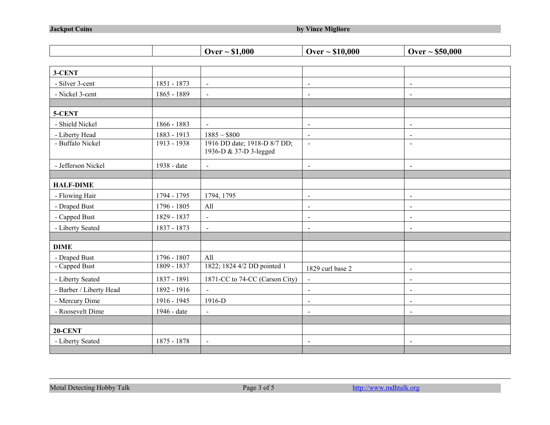|                         |             | Over $\sim$ \$1,000                                    | Over $\sim $10,000$      | Over $\sim$ \$50,000     |
|-------------------------|-------------|--------------------------------------------------------|--------------------------|--------------------------|
|                         |             |                                                        |                          |                          |
| 3-CENT                  |             |                                                        |                          |                          |
| - Silver 3-cent         | 1851 - 1873 | $\blacksquare$                                         | $\blacksquare$           | $\blacksquare$           |
| - Nickel 3-cent         | 1865 - 1889 | $\sim$                                                 | $\overline{\phantom{a}}$ | $\overline{\phantom{a}}$ |
|                         |             |                                                        |                          |                          |
| 5-CENT                  |             |                                                        |                          |                          |
| - Shield Nickel         | 1866 - 1883 | $\blacksquare$                                         | $\blacksquare$           | $\blacksquare$           |
| - Liberty Head          | 1883 - 1913 | $1885 \sim $800$                                       | $\blacksquare$           | $\blacksquare$           |
| - Buffalo Nickel        | 1913 - 1938 | 1916 DD date; 1918-D 8/7 DD;<br>1936-D & 37-D 3-legged | $\overline{\phantom{a}}$ | $\blacksquare$           |
| - Jefferson Nickel      | 1938 - date | $\sim$                                                 | $\blacksquare$           | $\blacksquare$           |
|                         |             |                                                        |                          |                          |
| <b>HALF-DIME</b>        |             |                                                        |                          |                          |
| - Flowing Hair          | 1794 - 1795 | 1794, 1795                                             | $\blacksquare$           | $\blacksquare$           |
| - Draped Bust           | 1796 - 1805 | All                                                    | $\blacksquare$           | $\blacksquare$           |
| - Capped Bust           | 1829 - 1837 | $\blacksquare$                                         | $\blacksquare$           | $\overline{\phantom{a}}$ |
| - Liberty Seated        | 1837 - 1873 | $\blacksquare$                                         | $\blacksquare$           | $\blacksquare$           |
|                         |             |                                                        |                          |                          |
| <b>DIME</b>             |             |                                                        |                          |                          |
| - Draped Bust           | 1796 - 1807 | All                                                    |                          |                          |
| - Capped Bust           | 1809 - 1837 | 1822; 1824 4/2 DD pointed 1                            | 1829 curl base 2         | $\blacksquare$           |
| - Liberty Seated        | 1837 - 1891 | 1871-CC to 74-CC (Carson City)                         | $\blacksquare$           | $\blacksquare$           |
| - Barber / Liberty Head | 1892 - 1916 | $\sim$                                                 | $\blacksquare$           | $\blacksquare$           |
| - Mercury Dime          | 1916 - 1945 | 1916-D                                                 | $\blacksquare$           | $\blacksquare$           |
| - Roosevelt Dime        | 1946 - date | $\blacksquare$                                         | $\blacksquare$           | $\blacksquare$           |
|                         |             |                                                        |                          |                          |
| 20-CENT                 |             |                                                        |                          |                          |
| - Liberty Seated        | 1875 - 1878 | $\blacksquare$                                         | $\blacksquare$           | $\overline{\phantom{a}}$ |
|                         |             |                                                        |                          |                          |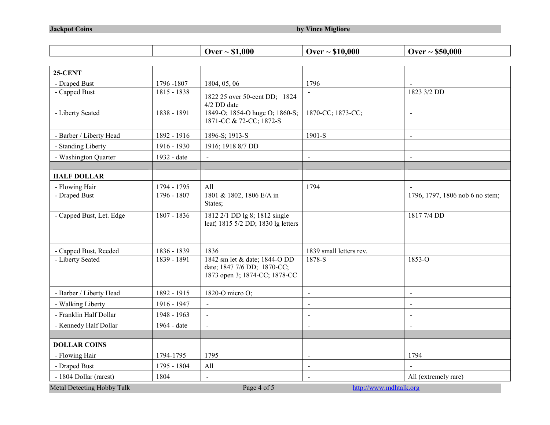|                            |               | Over $\sim$ \$1,000                                                                           | Over $\sim$ \$10,000    | Over $\sim$ \$50,000            |
|----------------------------|---------------|-----------------------------------------------------------------------------------------------|-------------------------|---------------------------------|
|                            |               |                                                                                               |                         |                                 |
| <b>25-CENT</b>             |               |                                                                                               |                         |                                 |
| - Draped Bust              | 1796-1807     | 1804, 05, 06                                                                                  | 1796                    |                                 |
| - Capped Bust              | 1815 - 1838   | 1822 25 over 50-cent DD; 1824<br>4/2 DD date                                                  |                         | 1823 3/2 DD                     |
| - Liberty Seated           | 1838 - 1891   | 1849-O; 1854-O huge O; 1860-S;<br>1871-CC & 72-CC; 1872-S                                     | 1870-CC; 1873-CC;       | $\blacksquare$                  |
| - Barber / Liberty Head    | 1892 - 1916   | 1896-S; 1913-S                                                                                | 1901-S                  | $\bar{\phantom{a}}$             |
| - Standing Liberty         | 1916 - 1930   | 1916; 1918 8/7 DD                                                                             |                         |                                 |
| - Washington Quarter       | 1932 - date   |                                                                                               | $\blacksquare$          | $\overline{\phantom{a}}$        |
| <b>HALF DOLLAR</b>         |               |                                                                                               |                         |                                 |
| - Flowing Hair             | 1794 - 1795   | All                                                                                           | 1794                    |                                 |
| - Draped Bust              | $1796 - 1807$ | 1801 & 1802, 1806 E/A in<br>States;                                                           |                         | 1796, 1797, 1806 nob 6 no stem; |
| - Capped Bust, Let. Edge   | 1807 - 1836   | 1812 2/1 DD lg 8; 1812 single<br>leaf; 1815 5/2 DD; 1830 lg letters                           |                         | 1817 7/4 DD                     |
| - Capped Bust, Reeded      | 1836 - 1839   | 1836                                                                                          | 1839 small letters rev. |                                 |
| - Liberty Seated           | 1839 - 1891   | 1842 sm let & date; 1844-O DD<br>date; 1847 7/6 DD; 1870-CC;<br>1873 open 3; 1874-CC; 1878-CC | 1878-S                  | $1853 - 0$                      |
| - Barber / Liberty Head    | 1892 - 1915   | 1820-O micro O;                                                                               | $\overline{a}$          | $\bar{\phantom{a}}$             |
| - Walking Liberty          | 1916 - 1947   | $\overline{\phantom{a}}$                                                                      | $\blacksquare$          | $\blacksquare$                  |
| - Franklin Half Dollar     | 1948 - 1963   | $\blacksquare$                                                                                | $\blacksquare$          | $\blacksquare$                  |
| - Kennedy Half Dollar      | 1964 - date   | $\overline{a}$                                                                                | $\blacksquare$          | $\overline{\phantom{a}}$        |
| <b>DOLLAR COINS</b>        |               |                                                                                               |                         |                                 |
| - Flowing Hair             | 1794-1795     | 1795                                                                                          | $\blacksquare$          | 1794                            |
| - Draped Bust              | 1795 - 1804   | All                                                                                           | $\bar{\phantom{a}}$     |                                 |
| - 1804 Dollar (rarest)     | 1804          |                                                                                               | $\blacksquare$          | All (extremely rare)            |
| Metal Detecting Hobby Talk |               | Page 4 of 5                                                                                   |                         | http://www.mdhtalk.org          |